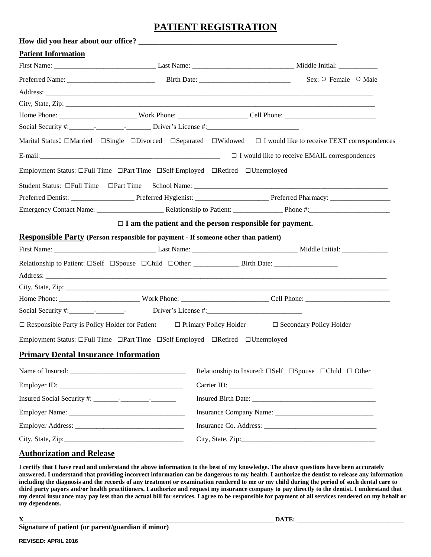## **PATIENT REGISTRATION**

| How did you hear about our office?                                                        |  |                                                                                                                                                  |  |  |
|-------------------------------------------------------------------------------------------|--|--------------------------------------------------------------------------------------------------------------------------------------------------|--|--|
| <b>Patient Information</b>                                                                |  |                                                                                                                                                  |  |  |
|                                                                                           |  |                                                                                                                                                  |  |  |
|                                                                                           |  |                                                                                                                                                  |  |  |
|                                                                                           |  |                                                                                                                                                  |  |  |
|                                                                                           |  |                                                                                                                                                  |  |  |
|                                                                                           |  |                                                                                                                                                  |  |  |
|                                                                                           |  |                                                                                                                                                  |  |  |
|                                                                                           |  | Marital Status: $\Box$ Married $\Box$ Single $\Box$ Divorced $\Box$ Separated $\Box$ Widowed $\Box$ I would like to receive TEXT correspondences |  |  |
|                                                                                           |  |                                                                                                                                                  |  |  |
| Employment Status: □Full Time □Part Time □Self Employed □Retired □Unemployed              |  |                                                                                                                                                  |  |  |
|                                                                                           |  |                                                                                                                                                  |  |  |
|                                                                                           |  |                                                                                                                                                  |  |  |
|                                                                                           |  |                                                                                                                                                  |  |  |
|                                                                                           |  | $\Box$ I am the patient and the person responsible for payment.                                                                                  |  |  |
| <b>Responsible Party (Person responsible for payment - If someone other than patient)</b> |  |                                                                                                                                                  |  |  |
|                                                                                           |  |                                                                                                                                                  |  |  |
|                                                                                           |  | Relationship to Patient: □Self □Spouse □Child □Other: ___________________Birth Date: ______________                                              |  |  |
|                                                                                           |  |                                                                                                                                                  |  |  |
|                                                                                           |  |                                                                                                                                                  |  |  |
|                                                                                           |  |                                                                                                                                                  |  |  |
|                                                                                           |  |                                                                                                                                                  |  |  |
|                                                                                           |  | $\Box$ Responsible Party is Policy Holder for Patient $\Box$ Primary Policy Holder $\Box$ Secondary Policy Holder                                |  |  |
| Employment Status: □Full Time □Part Time □Self Employed □Retired □Unemployed              |  |                                                                                                                                                  |  |  |
| <b>Primary Dental Insurance Information</b>                                               |  |                                                                                                                                                  |  |  |
|                                                                                           |  | Relationship to Insured: $\square Set \quad \square Spouse \quad \square Child \quad \square Other$                                              |  |  |
|                                                                                           |  |                                                                                                                                                  |  |  |
|                                                                                           |  |                                                                                                                                                  |  |  |
|                                                                                           |  |                                                                                                                                                  |  |  |
|                                                                                           |  |                                                                                                                                                  |  |  |
|                                                                                           |  |                                                                                                                                                  |  |  |
|                                                                                           |  |                                                                                                                                                  |  |  |

## **Authorization and Release**

**I certify that I have read and understand the above information to the best of my knowledge. The above questions have been accurately answered. I understand that providing incorrect information can be dangerous to my health. I authorize the dentist to release any information including the diagnosis and the records of any treatment or examination rendered to me or my child during the period of such dental care to third party payors and/or health practitioners. I authorize and request my insurance company to pay directly to the dentist. I understand that my dental insurance may pay less than the actual bill for services. I agree to be responsible for payment of all services rendered on my behalf or my dependents.**

**Signature of patient (or parent/guardian if minor)**